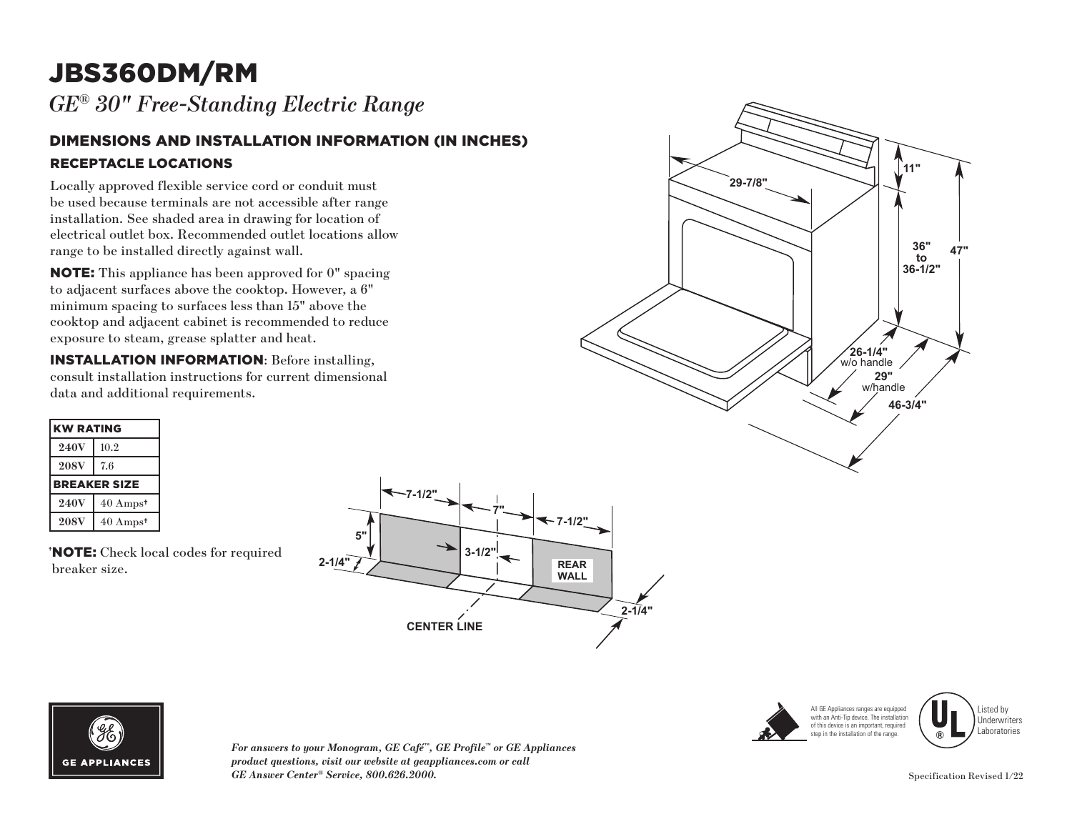# JBS360DM/RM

*GE® 30" Free-Standing Electric Range* 

#### DIMENSIONS AND INSTALLATION INFORMATION (IN INCHES) RECEPTACLE LOCATIONS

Locally approved flexible service cord or conduit must be used because terminals are not accessible after range installation. See shaded area in drawing for location of electrical outlet box. Recommended outlet locations allow range to be installed directly against wall.

NOTE: This appliance has been approved for 0" spacing to adjacent surfaces above the cooktop. However, a 6" minimum spacing to surfaces less than 15" above the cooktop and adjacent cabinet is recommended to reduce exposure to steam, grease splatter and heat.

INSTALLATION INFORMATION: Before installing, consult installation instructions for current dimensional data and additional requirements.

| <b>KW RATING</b> |                             |
|------------------|-----------------------------|
| <b>240V</b>      | 10.2                        |
| <b>208V</b>      | 7.6                         |
|                  | <b>BREAKER SIZE</b>         |
| <b>240V</b>      | $40 \text{ Amps}^{\dagger}$ |
| <b>208V</b>      | $40 \text{ Amps}^{\dagger}$ |

† NOTE: Check local codes for required breaker size.





*For answers to your Monogram, GE Café™, GE Profile™ or GE Appliances product questions, visit our website at geappliances.com or call GE Answer Center® Service, 800.626.2000.* Specification Revised 1/22





Listed by Underwriters Laboratories